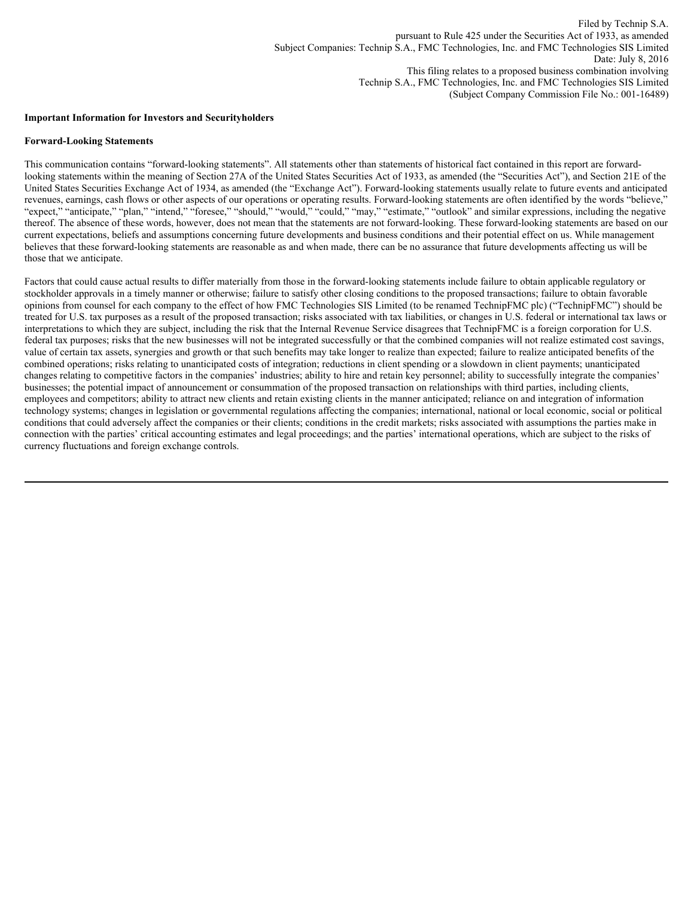#### **Important Information for Investors and Securityholders**

#### **Forward-Looking Statements**

This communication contains "forward-looking statements". All statements other than statements of historical fact contained in this report are forwardlooking statements within the meaning of Section 27A of the United States Securities Act of 1933, as amended (the "Securities Act"), and Section 21E of the United States Securities Exchange Act of 1934, as amended (the "Exchange Act"). Forward-looking statements usually relate to future events and anticipated revenues, earnings, cash flows or other aspects of our operations or operating results. Forward-looking statements are often identified by the words "believe," "expect," "anticipate," "plan," "intend," "foresee," "should," "would," "could," "may," "estimate," "outlook" and similar expressions, including the negative thereof. The absence of these words, however, does not mean that the statements are not forward-looking. These forward-looking statements are based on our current expectations, beliefs and assumptions concerning future developments and business conditions and their potential effect on us. While management believes that these forward-looking statements are reasonable as and when made, there can be no assurance that future developments affecting us will be those that we anticipate.

Factors that could cause actual results to differ materially from those in the forward-looking statements include failure to obtain applicable regulatory or stockholder approvals in a timely manner or otherwise; failure to satisfy other closing conditions to the proposed transactions; failure to obtain favorable opinions from counsel for each company to the effect of how FMC Technologies SIS Limited (to be renamed TechnipFMC plc) ("TechnipFMC") should be treated for U.S. tax purposes as a result of the proposed transaction; risks associated with tax liabilities, or changes in U.S. federal or international tax laws or interpretations to which they are subject, including the risk that the Internal Revenue Service disagrees that TechnipFMC is a foreign corporation for U.S. federal tax purposes; risks that the new businesses will not be integrated successfully or that the combined companies will not realize estimated cost savings, value of certain tax assets, synergies and growth or that such benefits may take longer to realize than expected; failure to realize anticipated benefits of the combined operations; risks relating to unanticipated costs of integration; reductions in client spending or a slowdown in client payments; unanticipated changes relating to competitive factors in the companies' industries; ability to hire and retain key personnel; ability to successfully integrate the companies' businesses; the potential impact of announcement or consummation of the proposed transaction on relationships with third parties, including clients, employees and competitors; ability to attract new clients and retain existing clients in the manner anticipated; reliance on and integration of information technology systems; changes in legislation or governmental regulations affecting the companies; international, national or local economic, social or political conditions that could adversely affect the companies or their clients; conditions in the credit markets; risks associated with assumptions the parties make in connection with the parties' critical accounting estimates and legal proceedings; and the parties' international operations, which are subject to the risks of currency fluctuations and foreign exchange controls.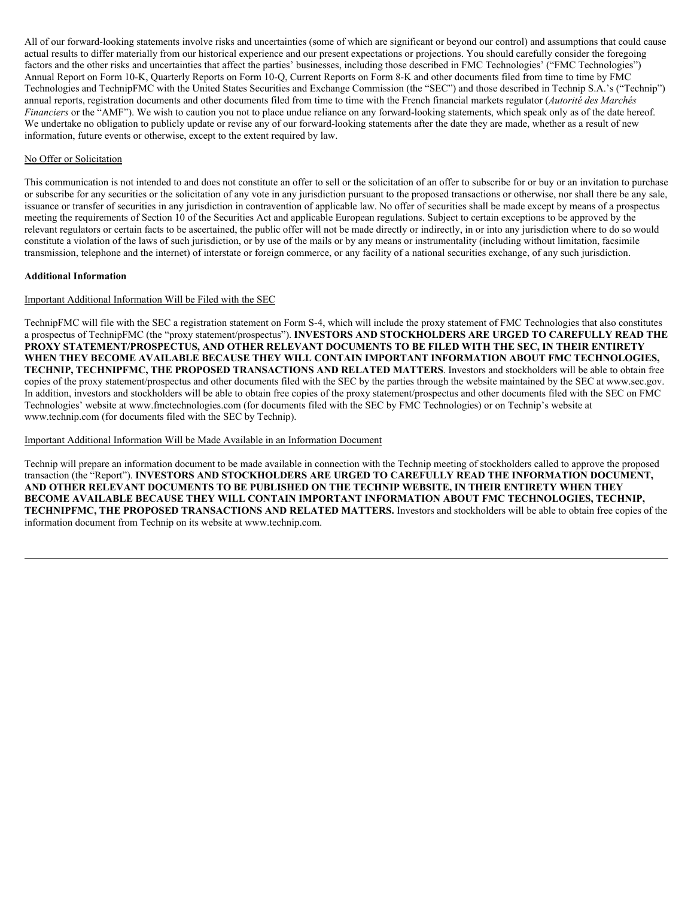All of our forward-looking statements involve risks and uncertainties (some of which are significant or beyond our control) and assumptions that could cause actual results to differ materially from our historical experience and our present expectations or projections. You should carefully consider the foregoing factors and the other risks and uncertainties that affect the parties' businesses, including those described in FMC Technologies' ("FMC Technologies") Annual Report on Form 10-K, Quarterly Reports on Form 10-Q, Current Reports on Form 8-K and other documents filed from time to time by FMC Technologies and TechnipFMC with the United States Securities and Exchange Commission (the "SEC") and those described in Technip S.A.'s ("Technip") annual reports, registration documents and other documents filed from time to time with the French financial markets regulator (*Autorité des Marchés Financiers* or the "AMF"). We wish to caution you not to place undue reliance on any forward-looking statements, which speak only as of the date hereof. We undertake no obligation to publicly update or revise any of our forward-looking statements after the date they are made, whether as a result of new information, future events or otherwise, except to the extent required by law.

# No Offer or Solicitation

This communication is not intended to and does not constitute an offer to sell or the solicitation of an offer to subscribe for or buy or an invitation to purchase or subscribe for any securities or the solicitation of any vote in any jurisdiction pursuant to the proposed transactions or otherwise, nor shall there be any sale, issuance or transfer of securities in any jurisdiction in contravention of applicable law. No offer of securities shall be made except by means of a prospectus meeting the requirements of Section 10 of the Securities Act and applicable European regulations. Subject to certain exceptions to be approved by the relevant regulators or certain facts to be ascertained, the public offer will not be made directly or indirectly, in or into any jurisdiction where to do so would constitute a violation of the laws of such jurisdiction, or by use of the mails or by any means or instrumentality (including without limitation, facsimile transmission, telephone and the internet) of interstate or foreign commerce, or any facility of a national securities exchange, of any such jurisdiction.

#### **Additional Information**

## Important Additional Information Will be Filed with the SEC

TechnipFMC will file with the SEC a registration statement on Form S-4, which will include the proxy statement of FMC Technologies that also constitutes a prospectus of TechnipFMC (the "proxy statement/prospectus"). **INVESTORS AND STOCKHOLDERS ARE URGED TO CAREFULLY READ THE PROXY STATEMENT/PROSPECTUS, AND OTHER RELEVANT DOCUMENTS TO BE FILED WITH THE SEC, IN THEIR ENTIRETY WHEN THEY BECOME AVAILABLE BECAUSE THEY WILL CONTAIN IMPORTANT INFORMATION ABOUT FMC TECHNOLOGIES, TECHNIP, TECHNIPFMC, THE PROPOSED TRANSACTIONS AND RELATED MATTERS**. Investors and stockholders will be able to obtain free copies of the proxy statement/prospectus and other documents filed with the SEC by the parties through the website maintained by the SEC at www.sec.gov. In addition, investors and stockholders will be able to obtain free copies of the proxy statement/prospectus and other documents filed with the SEC on FMC Technologies' website at www.fmctechnologies.com (for documents filed with the SEC by FMC Technologies) or on Technip's website at www.technip.com (for documents filed with the SEC by Technip).

### Important Additional Information Will be Made Available in an Information Document

Technip will prepare an information document to be made available in connection with the Technip meeting of stockholders called to approve the proposed transaction (the "Report"). **INVESTORS AND STOCKHOLDERS ARE URGED TO CAREFULLY READ THE INFORMATION DOCUMENT, AND OTHER RELEVANT DOCUMENTS TO BE PUBLISHED ON THE TECHNIP WEBSITE, IN THEIR ENTIRETY WHEN THEY BECOME AVAILABLE BECAUSE THEY WILL CONTAIN IMPORTANT INFORMATION ABOUT FMC TECHNOLOGIES, TECHNIP, TECHNIPFMC, THE PROPOSED TRANSACTIONS AND RELATED MATTERS.** Investors and stockholders will be able to obtain free copies of the information document from Technip on its website at www.technip.com.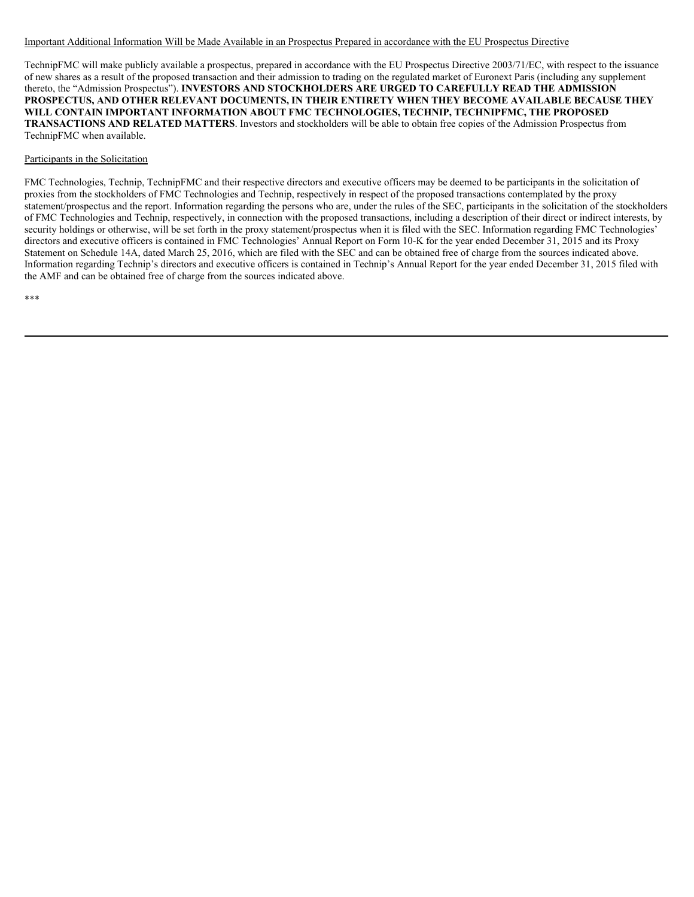#### Important Additional Information Will be Made Available in an Prospectus Prepared in accordance with the EU Prospectus Directive

TechnipFMC will make publicly available a prospectus, prepared in accordance with the EU Prospectus Directive 2003/71/EC, with respect to the issuance of new shares as a result of the proposed transaction and their admission to trading on the regulated market of Euronext Paris (including any supplement thereto, the "Admission Prospectus"). **INVESTORS AND STOCKHOLDERS ARE URGED TO CAREFULLY READ THE ADMISSION PROSPECTUS, AND OTHER RELEVANT DOCUMENTS, IN THEIR ENTIRETY WHEN THEY BECOME AVAILABLE BECAUSE THEY WILL CONTAIN IMPORTANT INFORMATION ABOUT FMC TECHNOLOGIES, TECHNIP, TECHNIPFMC, THE PROPOSED TRANSACTIONS AND RELATED MATTERS**. Investors and stockholders will be able to obtain free copies of the Admission Prospectus from TechnipFMC when available.

#### Participants in the Solicitation

FMC Technologies, Technip, TechnipFMC and their respective directors and executive officers may be deemed to be participants in the solicitation of proxies from the stockholders of FMC Technologies and Technip, respectively in respect of the proposed transactions contemplated by the proxy statement/prospectus and the report. Information regarding the persons who are, under the rules of the SEC, participants in the solicitation of the stockholders of FMC Technologies and Technip, respectively, in connection with the proposed transactions, including a description of their direct or indirect interests, by security holdings or otherwise, will be set forth in the proxy statement/prospectus when it is filed with the SEC. Information regarding FMC Technologies' directors and executive officers is contained in FMC Technologies' Annual Report on Form 10-K for the year ended December 31, 2015 and its Proxy Statement on Schedule 14A, dated March 25, 2016, which are filed with the SEC and can be obtained free of charge from the sources indicated above. Information regarding Technip's directors and executive officers is contained in Technip's Annual Report for the year ended December 31, 2015 filed with the AMF and can be obtained free of charge from the sources indicated above.

\*\*\*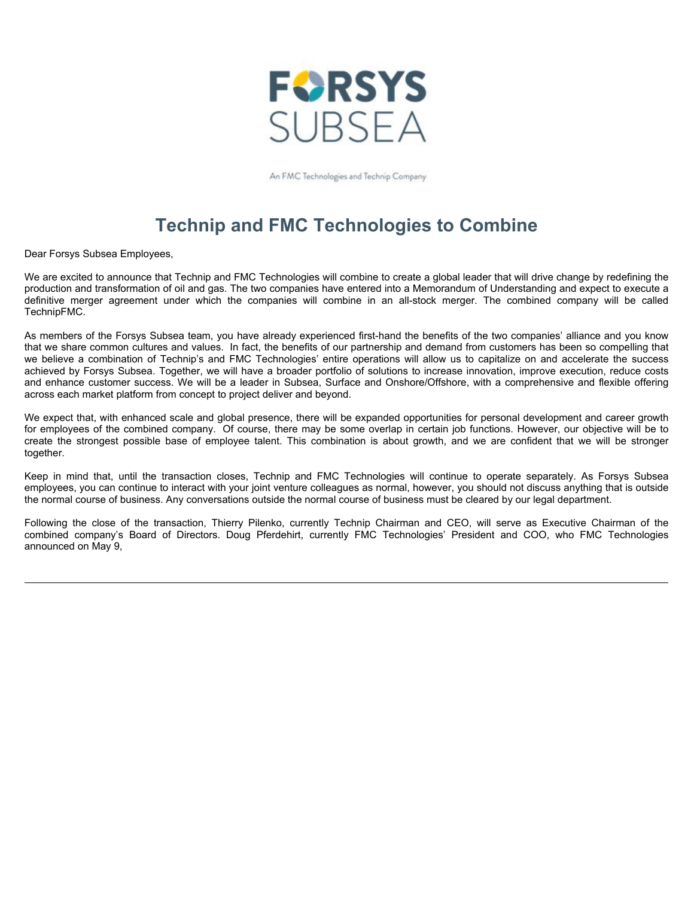

An FMC Technologies and Technip Company

# **Technip and FMC Technologies to Combine**

Dear Forsys Subsea Employees,

We are excited to announce that Technip and FMC Technologies will combine to create a global leader that will drive change by redefining the production and transformation of oil and gas. The two companies have entered into a Memorandum of Understanding and expect to execute a definitive merger agreement under which the companies will combine in an all-stock merger. The combined company will be called TechnipFMC.

As members of the Forsys Subsea team, you have already experienced first-hand the benefits of the two companies' alliance and you know that we share common cultures and values. In fact, the benefits of our partnership and demand from customers has been so compelling that we believe a combination of Technip's and FMC Technologies' entire operations will allow us to capitalize on and accelerate the success achieved by Forsys Subsea. Together, we will have a broader portfolio of solutions to increase innovation, improve execution, reduce costs and enhance customer success. We will be a leader in Subsea, Surface and Onshore/Offshore, with a comprehensive and flexible offering across each market platform from concept to project deliver and beyond.

We expect that, with enhanced scale and global presence, there will be expanded opportunities for personal development and career growth for employees of the combined company. Of course, there may be some overlap in certain job functions. However, our objective will be to create the strongest possible base of employee talent. This combination is about growth, and we are confident that we will be stronger together.

Keep in mind that, until the transaction closes, Technip and FMC Technologies will continue to operate separately. As Forsys Subsea employees, you can continue to interact with your joint venture colleagues as normal, however, you should not discuss anything that is outside the normal course of business. Any conversations outside the normal course of business must be cleared by our legal department.

Following the close of the transaction, Thierry Pilenko, currently Technip Chairman and CEO, will serve as Executive Chairman of the combined company's Board of Directors. Doug Pferdehirt, currently FMC Technologies' President and COO, who FMC Technologies announced on May 9,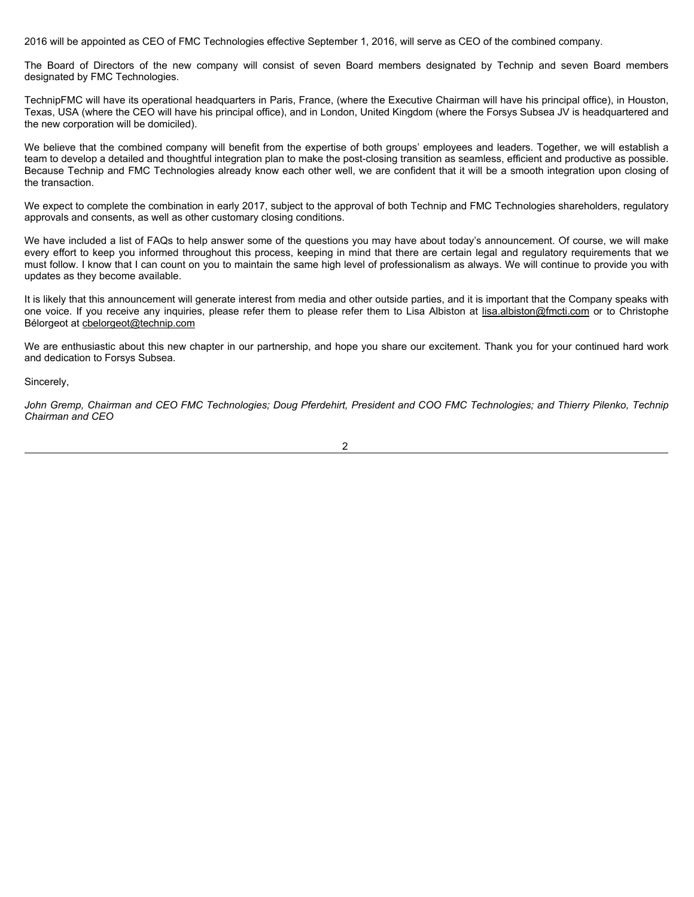2016 will be appointed as CEO of FMC Technologies effective September 1, 2016, will serve as CEO of the combined company.

The Board of Directors of the new company will consist of seven Board members designated by Technip and seven Board members designated by FMC Technologies.

TechnipFMC will have its operational headquarters in Paris, France, (where the Executive Chairman will have his principal office), in Houston, Texas, USA (where the CEO will have his principal office), and in London, United Kingdom (where the Forsys Subsea JV is headquartered and the new corporation will be domiciled).

We believe that the combined company will benefit from the expertise of both groups' employees and leaders. Together, we will establish a team to develop a detailed and thoughtful integration plan to make the post-closing transition as seamless, efficient and productive as possible. Because Technip and FMC Technologies already know each other well, we are confident that it will be a smooth integration upon closing of the transaction.

We expect to complete the combination in early 2017, subject to the approval of both Technip and FMC Technologies shareholders, regulatory approvals and consents, as well as other customary closing conditions.

We have included a list of FAQs to help answer some of the questions you may have about today's announcement. Of course, we will make every effort to keep you informed throughout this process, keeping in mind that there are certain legal and regulatory requirements that we must follow. I know that I can count on you to maintain the same high level of professionalism as always. We will continue to provide you with updates as they become available.

It is likely that this announcement will generate interest from media and other outside parties, and it is important that the Company speaks with one voice. If you receive any inquiries, please refer them to please refer them to Lisa Albiston at lisa.albiston@fmcti.com or to Christophe Bélorgeot at cbelorgeot@technip.com

We are enthusiastic about this new chapter in our partnership, and hope you share our excitement. Thank you for your continued hard work and dedication to Forsys Subsea.

Sincerely,

John Gremp, Chairman and CEO FMC Technologies; Doug Pferdehirt, President and COO FMC Technologies; and Thierry Pilenko, Technip *Chairman and CEO* 

2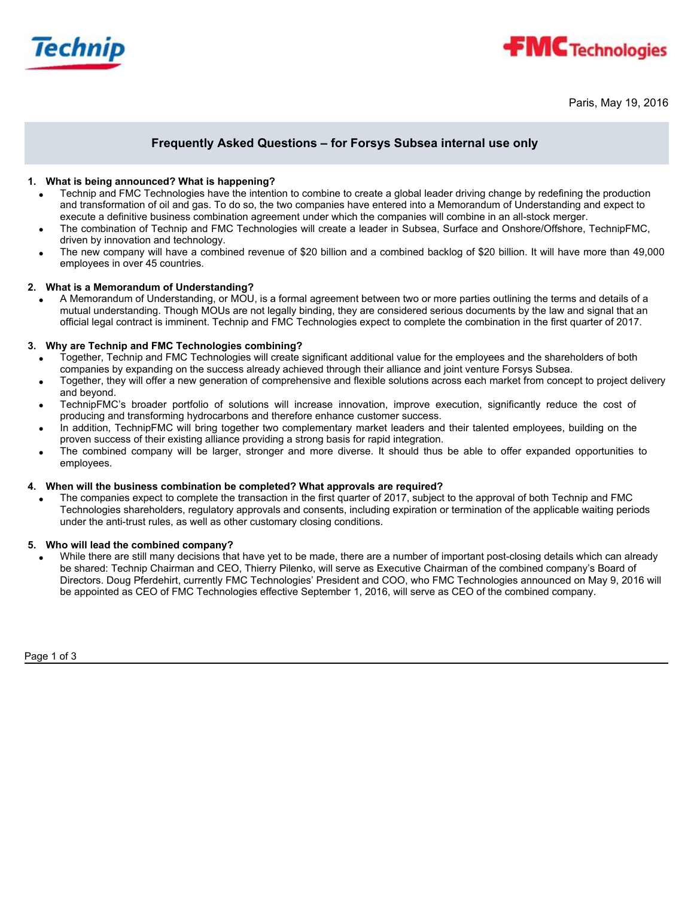



Paris, May 19, 2016

# **Frequently Asked Questions – for Forsys Subsea internal use only**

# **1. What is being announced? What is happening?**

- Technip and FMC Technologies have the intention to combine to create a global leader driving change by redefining the production and transformation of oil and gas. To do so, the two companies have entered into a Memorandum of Understanding and expect to execute a definitive business combination agreement under which the companies will combine in an all-stock merger.
- The combination of Technip and FMC Technologies will create a leader in Subsea, Surface and Onshore/Offshore, TechnipFMC, driven by innovation and technology.
- The new company will have a combined revenue of \$20 billion and a combined backlog of \$20 billion. It will have more than 49,000 employees in over 45 countries.

#### **2. What is a Memorandum of Understanding?**

A Memorandum of Understanding, or MOU, is a formal agreement between two or more parties outlining the terms and details of a mutual understanding. Though MOUs are not legally binding, they are considered serious documents by the law and signal that an official legal contract is imminent. Technip and FMC Technologies expect to complete the combination in the first quarter of 2017.

## **3. Why are Technip and FMC Technologies combining?**

- Together, Technip and FMC Technologies will create significant additional value for the employees and the shareholders of both companies by expanding on the success already achieved through their alliance and joint venture Forsys Subsea.
- Together, they will offer a new generation of comprehensive and flexible solutions across each market from concept to project delivery and beyond.
- TechnipFMC's broader portfolio of solutions will increase innovation, improve execution, significantly reduce the cost of producing and transforming hydrocarbons and therefore enhance customer success.
- In addition, TechnipFMC will bring together two complementary market leaders and their talented employees, building on the proven success of their existing alliance providing a strong basis for rapid integration.
- The combined company will be larger, stronger and more diverse. It should thus be able to offer expanded opportunities to employees.

#### **4. When will the business combination be completed? What approvals are required?**

The companies expect to complete the transaction in the first quarter of 2017, subject to the approval of both Technip and FMC Technologies shareholders, regulatory approvals and consents, including expiration or termination of the applicable waiting periods under the anti-trust rules, as well as other customary closing conditions.

# **5. Who will lead the combined company?**

While there are still many decisions that have yet to be made, there are a number of important post-closing details which can already be shared: Technip Chairman and CEO, Thierry Pilenko, will serve as Executive Chairman of the combined company's Board of Directors. Doug Pferdehirt, currently FMC Technologies' President and COO, who FMC Technologies announced on May 9, 2016 will be appointed as CEO of FMC Technologies effective September 1, 2016, will serve as CEO of the combined company.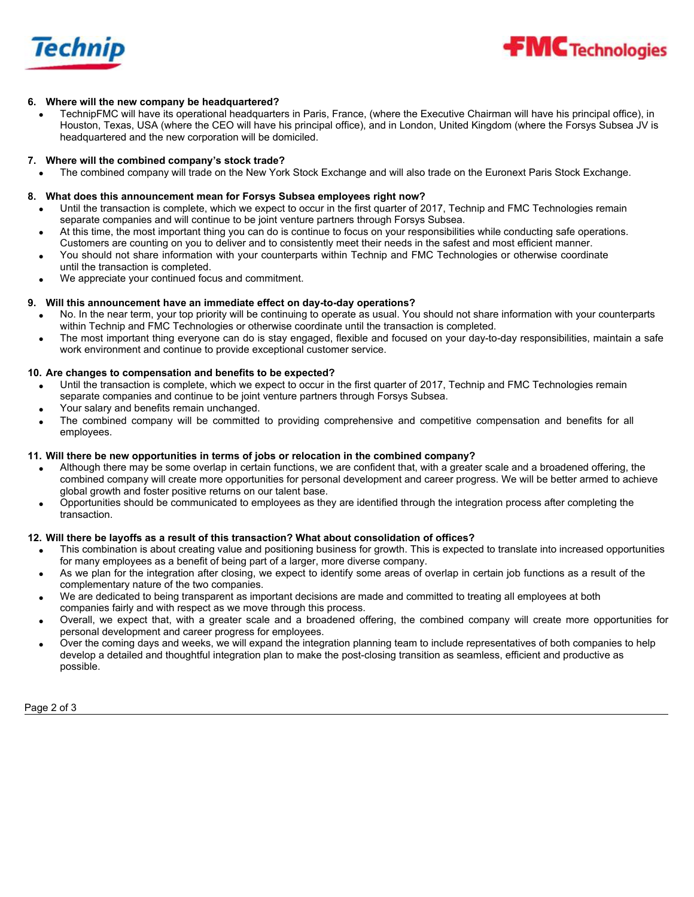

# **6. Where will the new company be headquartered?**

TechnipFMC will have its operational headquarters in Paris, France, (where the Executive Chairman will have his principal office), in Houston, Texas, USA (where the CEO will have his principal office), and in London, United Kingdom (where the Forsys Subsea JV is headquartered and the new corporation will be domiciled.

## **7. Where will the combined company's stock trade?**

x The combined company will trade on the New York Stock Exchange and will also trade on the Euronext Paris Stock Exchange.

## **8. What does this announcement mean for Forsys Subsea employees right now?**

- Until the transaction is complete, which we expect to occur in the first quarter of 2017, Technip and FMC Technologies remain separate companies and will continue to be joint venture partners through Forsys Subsea.
- At this time, the most important thing you can do is continue to focus on your responsibilities while conducting safe operations. Customers are counting on you to deliver and to consistently meet their needs in the safest and most efficient manner.
- You should not share information with your counterparts within Technip and FMC Technologies or otherwise coordinate
- until the transaction is completed.
- We appreciate your continued focus and commitment.

## **9. Will this announcement have an immediate effect on day-to-day operations?**

- No. In the near term, your top priority will be continuing to operate as usual. You should not share information with your counterparts within Technip and FMC Technologies or otherwise coordinate until the transaction is completed.
- The most important thing everyone can do is stay engaged, flexible and focused on your day-to-day responsibilities, maintain a safe work environment and continue to provide exceptional customer service.

# **10. Are changes to compensation and benefits to be expected?**

- Until the transaction is complete, which we expect to occur in the first quarter of 2017, Technip and FMC Technologies remain separate companies and continue to be joint venture partners through Forsys Subsea.
- Your salary and benefits remain unchanged.
- The combined company will be committed to providing comprehensive and competitive compensation and benefits for all employees.

# **11. Will there be new opportunities in terms of jobs or relocation in the combined company?**

- Although there may be some overlap in certain functions, we are confident that, with a greater scale and a broadened offering, the combined company will create more opportunities for personal development and career progress. We will be better armed to achieve global growth and foster positive returns on our talent base.
- Opportunities should be communicated to employees as they are identified through the integration process after completing the transaction.

# **12. Will there be layoffs as a result of this transaction? What about consolidation of offices?**

- This combination is about creating value and positioning business for growth. This is expected to translate into increased opportunities for many employees as a benefit of being part of a larger, more diverse company.
- As we plan for the integration after closing, we expect to identify some areas of overlap in certain job functions as a result of the complementary nature of the two companies.
- We are dedicated to being transparent as important decisions are made and committed to treating all employees at both companies fairly and with respect as we move through this process.
- x Overall, we expect that, with a greater scale and a broadened offering, the combined company will create more opportunities for personal development and career progress for employees.
- Over the coming days and weeks, we will expand the integration planning team to include representatives of both companies to help develop a detailed and thoughtful integration plan to make the post-closing transition as seamless, efficient and productive as possible.